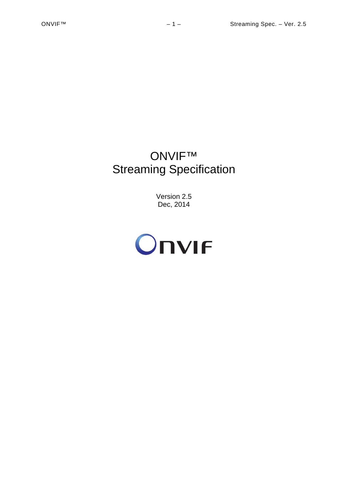# ONVIF™ Streaming Specification

Version 2.5 Dec, 2014

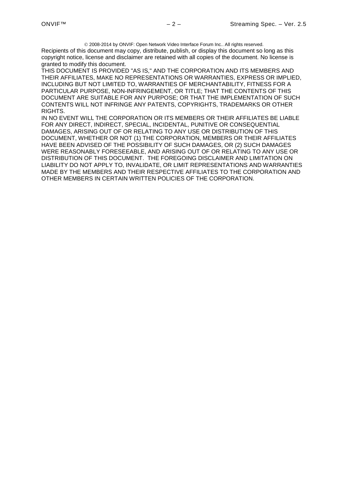2008-2014 by ONVIF: Open Network Video Interface Forum Inc.. All rights reserved. Recipients of this document may copy, distribute, publish, or display this document so long as this copyright notice, license and disclaimer are retained with all copies of the document. No license is granted to modify this document.

THIS DOCUMENT IS PROVIDED "AS IS," AND THE CORPORATION AND ITS MEMBERS AND THEIR AFFILIATES, MAKE NO REPRESENTATIONS OR WARRANTIES, EXPRESS OR IMPLIED, INCLUDING BUT NOT LIMITED TO, WARRANTIES OF MERCHANTABILITY, FITNESS FOR A PARTICULAR PURPOSE, NON-INFRINGEMENT, OR TITLE; THAT THE CONTENTS OF THIS DOCUMENT ARE SUITABLE FOR ANY PURPOSE; OR THAT THE IMPLEMENTATION OF SUCH CONTENTS WILL NOT INFRINGE ANY PATENTS, COPYRIGHTS, TRADEMARKS OR OTHER RIGHTS.

IN NO EVENT WILL THE CORPORATION OR ITS MEMBERS OR THEIR AFFILIATES BE LIABLE FOR ANY DIRECT, INDIRECT, SPECIAL, INCIDENTAL, PUNITIVE OR CONSEQUENTIAL DAMAGES, ARISING OUT OF OR RELATING TO ANY USE OR DISTRIBUTION OF THIS DOCUMENT, WHETHER OR NOT (1) THE CORPORATION, MEMBERS OR THEIR AFFILIATES HAVE BEEN ADVISED OF THE POSSIBILITY OF SUCH DAMAGES, OR (2) SUCH DAMAGES WERE REASONABLY FORESEEABLE, AND ARISING OUT OF OR RELATING TO ANY USE OR DISTRIBUTION OF THIS DOCUMENT. THE FOREGOING DISCLAIMER AND LIMITATION ON LIABILITY DO NOT APPLY TO, INVALIDATE, OR LIMIT REPRESENTATIONS AND WARRANTIES MADE BY THE MEMBERS AND THEIR RESPECTIVE AFFILIATES TO THE CORPORATION AND OTHER MEMBERS IN CERTAIN WRITTEN POLICIES OF THE CORPORATION.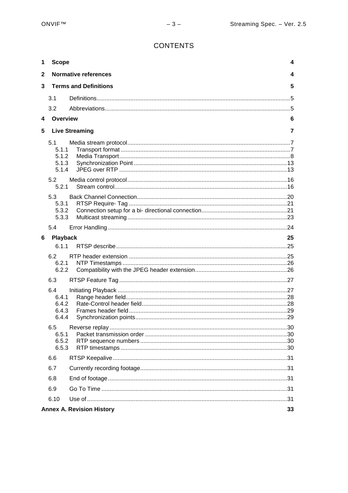# **CONTENTS**

| 1            | <b>Scope</b>                            |                                  | 4  |
|--------------|-----------------------------------------|----------------------------------|----|
| $\mathbf{2}$ |                                         | <b>Normative references</b>      | 4  |
| $\mathbf{3}$ |                                         | <b>Terms and Definitions</b>     | 5  |
|              | 3.1                                     |                                  |    |
|              | 3.2                                     |                                  |    |
| 4            | Overview                                |                                  | 6  |
| 5            |                                         | <b>Live Streaming</b>            | 7  |
|              | 5.1<br>5.1.1<br>5.1.2<br>5.1.3<br>5.1.4 |                                  |    |
|              | 5.2<br>5.2.1                            |                                  |    |
|              | 5.3<br>5.3.1<br>5.3.2<br>5.3.3          |                                  |    |
|              | 5.4                                     |                                  |    |
| 6            | Playback                                |                                  | 25 |
|              | 6.1.1                                   |                                  |    |
|              | 6.2<br>6.2.1<br>6.2.2                   |                                  |    |
|              | 6.3                                     |                                  |    |
|              | 6.4<br>6.4.1<br>6.4.2<br>6.4.3<br>6.4.4 |                                  |    |
|              | 6.5<br>6.5.1<br>6.5.2<br>6.5.3          |                                  |    |
|              | 6.6                                     |                                  |    |
|              | 6.7                                     |                                  |    |
|              | 6.8                                     |                                  |    |
|              | 6.9                                     |                                  |    |
|              | 6.10                                    |                                  |    |
|              |                                         | <b>Annex A. Revision History</b> | 33 |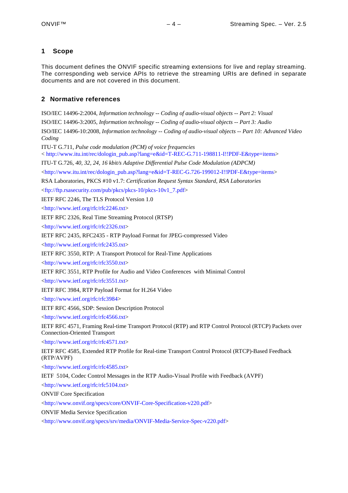# <span id="page-3-0"></span>**1 Scope**

This document defines the ONVIF specific streaming extensions for live and replay streaming. The corresponding web service APIs to retrieve the streaming URIs are defined in separate documents and are not covered in this document.

# <span id="page-3-1"></span>**2 Normative references**

ISO/IEC 14496-2:2004, *Information technology -- Coding of audio-visual objects -- Part 2: Visual*

ISO/IEC 14496-3:2005, *Information technology -- Coding of audio-visual objects -- Part 3: Audio*

ISO/IEC 14496-10:2008, *Information technology -- Coding of audio-visual objects -- Part 10: Advanced Video Coding*

ITU-T G.711, *Pulse code modulation (PCM) of voice frequencies*

< [http://www.itu.int/rec/dologin\\_pub.asp?lang=e&id=T-REC-G.711-198811-I!!PDF-E&type=items>](http://www.itu.int/rec/dologin_pub.asp?lang=e&id=T-REC-G.711-198811-I!!PDF-E&type=items)

ITU-T G.726, *40, 32, 24, 16 kbit/s Adaptive Differential Pulse Code Modulation (ADPCM)*

 $\langle \text{http://www.itu.int/rec/dologin publasp?lang=e&id=T-REC-G.726-199012-I!!PDF-Extype=items>$ 

RSA Laboratories, PKCS #10 v1.7: *Certification Request Syntax Standard, RSA Laboratories*

[<ftp://ftp.rsasecurity.com/pub/pkcs/pkcs-10/pkcs-10v1\\_7.pdf>](ftp://ftp.rsasecurity.com/pub/pkcs/pkcs-10/pkcs-10v1_7.pdf)

IETF RFC 2246, The TLS Protocol Version 1.0

[<http://www.ietf.org/rfc/rfc2246.txt>](http://www.ietf.org/rfc/rfc2246.txt)

IETF RFC 2326, Real Time Streaming Protocol (RTSP)

[<http://www.ietf.org/rfc/rfc2326.txt>](http://www.ietf.org/rfc/rfc2326.txt)

IETF RFC 2435, RFC2435 - RTP Payload Format for JPEG-compressed Video

[<http://www.ietf.org/rfc/rfc2435.txt>](http://www.ietf.org/rfc/rfc2435.txt)

IETF RFC 3550, RTP: A Transport Protocol for Real-Time Applications

[<http://www.ietf.org/rfc/rfc3550.txt>](http://www.ietf.org/rfc/rfc3550.txt)

IETF RFC 3551, RTP Profile for Audio and Video Conferences with Minimal Control

[<http://www.ietf.org/rfc/rfc3551.txt>](http://www.ietf.org/rfc/rfc3551.txt)

IETF RFC 3984, RTP Payload Format for H.264 Video

[<http://www.ietf.org/rfc/rfc3984>](http://www.ietf.org/rfc/rfc3984)

IETF RFC 4566, SDP: Session Description Protocol

[<http://www.ietf.org/rfc/rfc4566.txt>](http://www.ietf.org/rfc/rfc4566.txt)

IETF RFC 4571, Framing Real-time Transport Protocol (RTP) and RTP Control Protocol (RTCP) Packets over Connection-Oriented Transport

[<http://www.ietf.org/rfc/rfc4571.txt>](http://www.ietf.org/rfc/rfc4571.txt)

IETF RFC 4585, Extended RTP Profile for Real-time Transport Control Protocol (RTCP)-Based Feedback (RTP/AVPF)

[<http://www.ietf.org/rfc/rfc4585.txt>](http://www.ietf.org/rfc/rfc4585.txt)

IETF 5104, Codec Control Messages in the RTP Audio-Visual Profile with Feedback (AVPF) [<http://www.ietf.org/rfc/rfc5104.txt>](http://www.ietf.org/rfc/rfc5104.txt)

ONVIF Core Specification

[<http://www.onvif.org/specs/core/ONVIF-Core-Specification-v220.pdf>](http://www.onvif.org/specs/core/ONVIF-Core-Specification-v211.pdf)

ONVIF Media Service Specification

[<http://www.onvif.org/specs/srv/media/ONVIF-Media-Service-Spec-v220.pdf>](http://www.onvif.org/specs/srv/media/ONVIF-Media-Service-Spec-v211.pdf)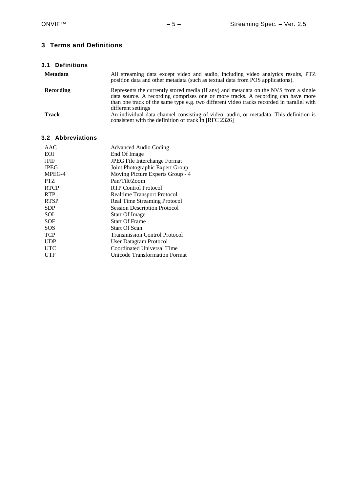# <span id="page-4-0"></span>**3 Terms and Definitions**

<span id="page-4-1"></span>

| 3.1 Definitions |                                                                                                                                                                                                                                                                                             |
|-----------------|---------------------------------------------------------------------------------------------------------------------------------------------------------------------------------------------------------------------------------------------------------------------------------------------|
| <b>Metadata</b> | All streaming data except video and audio, including video analytics results, PTZ<br>position data and other metadata (such as textual data from POS applications).                                                                                                                         |
| Recording       | Represents the currently stored media (if any) and metadata on the NVS from a single<br>data source. A recording comprises one or more tracks. A recording can have more<br>than one track of the same type e.g. two different video tracks recorded in parallel with<br>different settings |
| Track           | An individual data channel consisting of video, audio, or metadata. This definition is<br>consistent with the definition of track in [RFC 2326]                                                                                                                                             |

# <span id="page-4-2"></span>**3.2 Abbreviations**

| <b>Advanced Audio Coding</b>         |
|--------------------------------------|
| End Of Image                         |
| <b>JPEG File Interchange Format</b>  |
| Joint Photographic Expert Group      |
| Moving Picture Experts Group - 4     |
| Pan/Tilt/Zoom                        |
| RTP Control Protocol                 |
| <b>Realtime Transport Protocol</b>   |
| Real Time Streaming Protocol         |
| <b>Session Description Protocol</b>  |
| <b>Start Of Image</b>                |
| <b>Start Of Frame</b>                |
| <b>Start Of Scan</b>                 |
| <b>Transmission Control Protocol</b> |
| User Datagram Protocol               |
| Coordinated Universal Time           |
| Unicode Transformation Format        |
|                                      |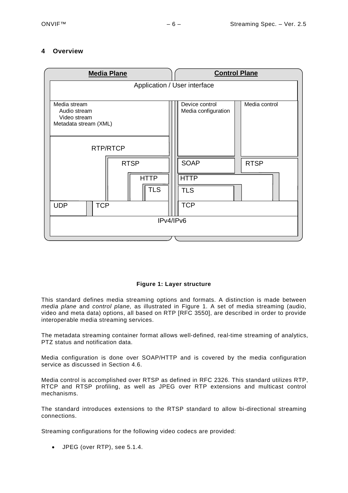# <span id="page-5-0"></span>**4 Overview**



# **Figure 1: Layer structure**

<span id="page-5-1"></span>This standard defines media streaming options and formats. A distinction is made between *media plane* and *control plane,* as illustrated in [Figure 1.](#page-5-1) A set of media streaming (audio, video and meta data) options, all based on RTP [RFC 3550], are described in order to provide interoperable media streaming services.

The metadata streaming container format allows well-defined, real-time streaming of analytics, PTZ status and notification data.

Media configuration is done over SOAP/HTTP and is covered by the media configuration service as discussed in Section 4.6.

Media control is accomplished over RTSP as defined in RFC 2326. This standard utilizes RTP, RTCP and RTSP profiling, as well as JPEG over RTP extensions and multicast control mechanisms.

The standard introduces extensions to the RTSP standard to allow bi-directional streaming connections.

Streaming configurations for the following video codecs are provided:

• JPEG (over RTP), see [5.1.4.](#page-12-1)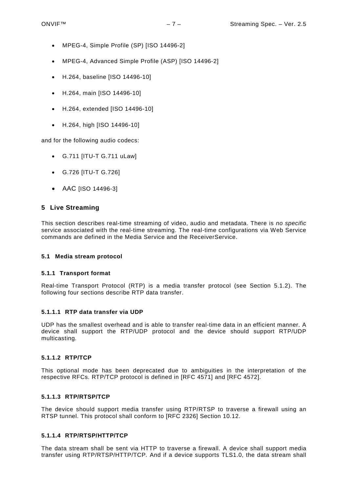- MPEG-4, Simple Profile (SP) [ISO 14496-2]
- MPEG-4, Advanced Simple Profile (ASP) [ISO 14496-2]
- H.264, baseline [ISO 14496-10]
- H.264, main [ISO 14496-10]
- H.264, extended [ISO 14496-10]
- H.264, high [ISO 14496-10]

and for the following audio codecs:

- G.711 [ITU-T G.711 uLaw]
- G.726 [ITU-T G.726]
- AAC [ISO 14496-3]

# <span id="page-6-0"></span>**5 Live Streaming**

This section describes real-time streaming of video, audio and metadata. There is *no specific*  service associated with the real-time streaming. The real-time configurations via Web Service commands are defined in the Media Service and the ReceiverService.

#### <span id="page-6-1"></span>**5.1 Media stream protocol**

#### <span id="page-6-2"></span>**5.1.1 Transport format**

Real-time Transport Protocol (RTP) is a media transfer protocol (see Section [5.1.2\)](#page-7-0). The following four sections describe RTP data transfer.

# **5.1.1.1 RTP data transfer via UDP**

UDP has the smallest overhead and is able to transfer real-time data in an efficient manner. A device shall support the RTP/UDP protocol and the device should support RTP/UDP multicasting.

# **5.1.1.2 RTP/TCP**

This optional mode has been deprecated due to ambiguities in the interpretation of the respective RFCs. RTP/TCP protocol is defined in [RFC 4571] and [RFC 4572].

#### **5.1.1.3 RTP/RTSP/TCP**

The device should support media transfer using RTP/RTSP to traverse a firewall using an RTSP tunnel. This protocol shall conform to [RFC 2326] Section 10.12.

#### <span id="page-6-3"></span>**5.1.1.4 RTP/RTSP/HTTP/TCP**

The data stream shall be sent via HTTP to traverse a firewall. A device shall support media transfer using RTP/RTSP/HTTP/TCP. And if a device supports TLS1.0, the data stream shall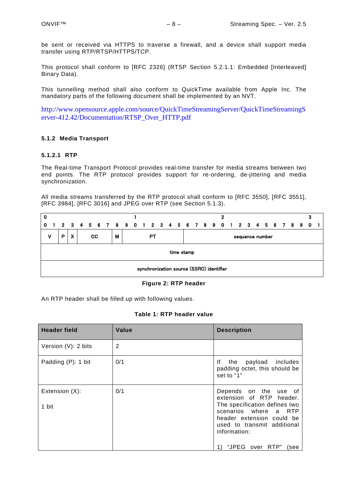be sent or received via HTTPS to traverse a firewall, and a device shall support media transfer using RTP/RTSP/HTTPS/TCP.

This protocol shall conform to [RFC 2326] (RTSP Section [5.2.1.1:](#page-16-0) Embedded [Interleaved] Binary Data).

This tunnelling method shall also conform to QuickTime available from Apple Inc. The mandatory parts of the following document shall be implemented by an NVT.

[http://www.opensource.apple.com/source/QuickTimeStreamingServer/QuickTimeStreamingS](http://www.opensource.apple.com/source/QuickTimeStreamingServer/QuickTimeStreamingServer-412.42/Documentation/RTSP_Over_HTTP.pdf) [erver-412.42/Documentation/RTSP\\_Over\\_HTTP.pdf](http://www.opensource.apple.com/source/QuickTimeStreamingServer/QuickTimeStreamingServer-412.42/Documentation/RTSP_Over_HTTP.pdf)

# <span id="page-7-0"></span>**5.1.2 Media Transport**

# **5.1.2.1 RTP**

The Real-time Transport Protocol provides real-time transfer for media streams between two end points. The RTP protocol provides support for re-ordering, de-jittering and media synchronization.

All media streams transferred by the RTP protocol shall conform to [RFC 3550], [RFC 3551], [RFC 3984], [RFC 3016] and JPEG over RTP (see Section [5.1.3\)](#page-12-0).

| 0 |                                          |   |             |  |  |           |  |   |  |  |  |    |  |  |  | 2                                                     |  |                 |  |  |  |  |
|---|------------------------------------------|---|-------------|--|--|-----------|--|---|--|--|--|----|--|--|--|-------------------------------------------------------|--|-----------------|--|--|--|--|
| 0 | $\blacksquare$                           |   | $2 \quad 3$ |  |  |           |  |   |  |  |  |    |  |  |  | 4 5 6 7 8 9 0 1 2 3 4 5 6 7 8 9 0 1 2 3 4 5 6 7 8 9 0 |  |                 |  |  |  |  |
| v |                                          | P | X           |  |  | <b>CC</b> |  | м |  |  |  | PТ |  |  |  |                                                       |  | sequence number |  |  |  |  |
|   | time stamp                               |   |             |  |  |           |  |   |  |  |  |    |  |  |  |                                                       |  |                 |  |  |  |  |
|   | synchronization source (SSRC) identifier |   |             |  |  |           |  |   |  |  |  |    |  |  |  |                                                       |  |                 |  |  |  |  |

#### **Figure 2: RTP header**

An RTP header shall be filled up with following values.

|  | Table 1: RTP header value |
|--|---------------------------|
|--|---------------------------|

| <b>Header field</b>     | Value | <b>Description</b>                                                                                                                                                                                                 |
|-------------------------|-------|--------------------------------------------------------------------------------------------------------------------------------------------------------------------------------------------------------------------|
| Version (V): 2 bits     | 2     |                                                                                                                                                                                                                    |
| Padding (P): 1 bit      | 0/1   | the payload includes<br>lf.<br>padding octet, this should be<br>set to "1"                                                                                                                                         |
| Extension (X):<br>1 bit | 0/1   | Depends on the use of<br>extension of RTP header.<br>The specification defines two<br>scenarios where a RTP<br>header extension could be<br>used to transmit additional<br>information:<br>"JPEG over RTP"<br>(see |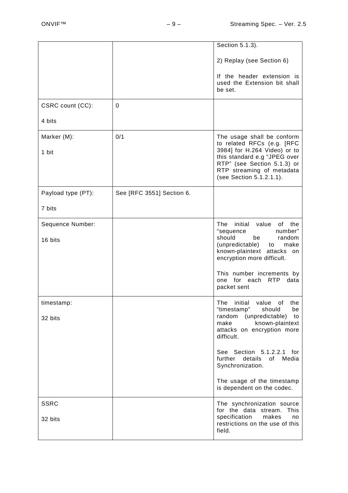|                    |                           | Section 5.1.3).                                                                                                                                      |
|--------------------|---------------------------|------------------------------------------------------------------------------------------------------------------------------------------------------|
|                    |                           |                                                                                                                                                      |
|                    |                           | 2) Replay (see Section 6)                                                                                                                            |
|                    |                           | If the header extension is<br>used the Extension bit shall<br>be set.                                                                                |
| CSRC count (CC):   | $\mathbf 0$               |                                                                                                                                                      |
| 4 bits             |                           |                                                                                                                                                      |
| Marker (M):        | 0/1                       | The usage shall be conform<br>to related RFCs (e.g. [RFC                                                                                             |
| 1 bit              |                           | 3984] for H.264 Video) or to<br>this standard e.g "JPEG over<br>RTP" (see Section 5.1.3) or<br>RTP streaming of metadata<br>(see Section 5.1.2.1.1). |
| Payload type (PT): | See [RFC 3551] Section 6. |                                                                                                                                                      |
| 7 bits             |                           |                                                                                                                                                      |
| Sequence Number:   |                           | The initial value of the<br>"sequence<br>number"                                                                                                     |
| 16 bits            |                           | should<br>be<br>random<br>(unpredictable) to<br>make<br>known-plaintext attacks on<br>encryption more difficult.                                     |
|                    |                           | This number increments by<br>one for each RTP data<br>packet sent                                                                                    |
| timestamp:         |                           | The initial value of the<br>"timestamp"<br>should<br>be                                                                                              |
| 32 bits            |                           | random (unpredictable)<br>to<br>make<br>known-plaintext<br>attacks on encryption more<br>difficult.                                                  |
|                    |                           | See Section 5.1.2.2.1 for<br>details<br>of<br>Media<br>further<br>Synchronization.                                                                   |
|                    |                           | The usage of the timestamp<br>is dependent on the codec.                                                                                             |
| <b>SSRC</b>        |                           | The synchronization source<br>for the data stream. This                                                                                              |
| 32 bits            |                           | specification<br>makes<br>no<br>restrictions on the use of this<br>field.                                                                            |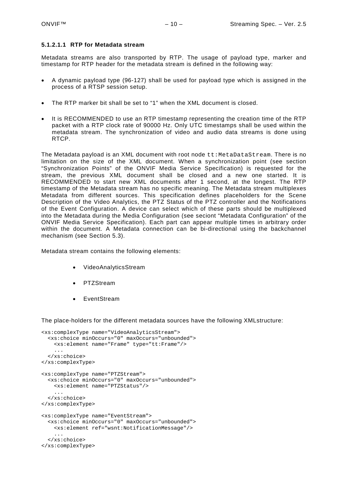#### <span id="page-9-0"></span>**5.1.2.1.1 RTP for Metadata stream**

Metadata streams are also transported by RTP. The usage of payload type, marker and timestamp for RTP header for the metadata stream is defined in the following way:

- A dynamic payload type (96-127) shall be used for payload type which is assigned in the process of a RTSP session setup.
- The RTP marker bit shall be set to "1" when the XML document is closed.
- It is RECOMMENDED to use an RTP timestamp representing the creation time of the RTP packet with a RTP clock rate of 90000 Hz. Only UTC timestamps shall be used within the metadata stream. The synchronization of video and audio data streams is done using RTCP.

The Metadata payload is an XML document with root node tt:MetaDataStream. There is no limitation on the size of the XML document. When a synchronization point (see section "Synchronization Points" of the ONVIF Media Service Specification) is requested for the stream, the previous XML document shall be closed and a new one started. It is RECOMMENDED to start new XML documents after 1 second, at the longest. The RTP timestamp of the Metadata stream has no specific meaning. The Metadata stream multiplexes Metadata from different sources. This specification defines placeholders for the Scene Description of the Video Analytics, the PTZ Status of the PTZ controller and the Notifications of the Event Configuration. A device can select which of these parts should be multiplexed into the Metadata during the Media Configuration (see seciont "Metadata Configuration" of the ONVIF Media Service Specification). Each part can appear multiple times in arbitrary order within the document. A Metadata connection can be bi-directional using the backchannel mechanism (see Section [5.3\)](#page-19-0).

Metadata stream contains the following elements:

- VideoAnalyticsStream
- PTZStream
- EventStream

The place-holders for the different metadata sources have the following XMLstructure:

```
<xs:complexType name="VideoAnalyticsStream">
   <xs:choice minOccurs="0" maxOccurs="unbounded">
     <xs:element name="Frame" type="tt:Frame"/>
     ...
   </xs:choice>
</xs:complexType>
<xs:complexType name="PTZStream">
   <xs:choice minOccurs="0" maxOccurs="unbounded">
     <xs:element name="PTZStatus"/>
 ...
   </xs:choice>
</xs:complexType>
<xs:complexType name="EventStream">
   <xs:choice minOccurs="0" maxOccurs="unbounded">
    <xs:element ref="wsnt:NotificationMessage"/>
     ...
   </xs:choice>
</xs:complexType>
```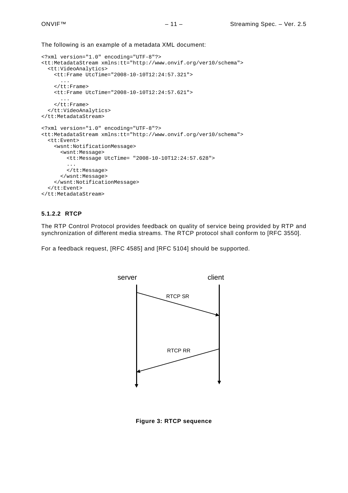The following is an example of a metadata XML document:

```
<?xml version="1.0" encoding="UTF-8"?>
<tt:MetadataStream xmlns:tt="http://www.onvif.org/ver10/schema">
   <tt:VideoAnalytics>
     <tt:Frame UtcTime="2008-10-10T12:24:57.321">
 ...
     </tt:Frame>
     <tt:Frame UtcTime="2008-10-10T12:24:57.621">
       ...
    \langlett:Frame>
   </tt:VideoAnalytics>
</tt:MetadataStream>
<?xml version="1.0" encoding="UTF-8"?>
<tt:MetadataStream xmlns:tt="http://www.onvif.org/ver10/schema">
   <tt:Event>
     <wsnt:NotificationMessage>
       <wsnt:Message>
         <tt:Message UtcTime= "2008-10-10T12:24:57.628">
         ...
         </tt:Message>
       </wsnt:Message>
     </wsnt:NotificationMessage>
   </tt:Event>
</tt:MetadataStream>
```
# **5.1.2.2 RTCP**

The RTP Control Protocol provides feedback on quality of service being provided by RTP and synchronization of different media streams. The RTCP protocol shall conform to [RFC 3550].

For a feedback request, [RFC 4585] and [RFC 5104] should be supported.



**Figure 3: RTCP sequence**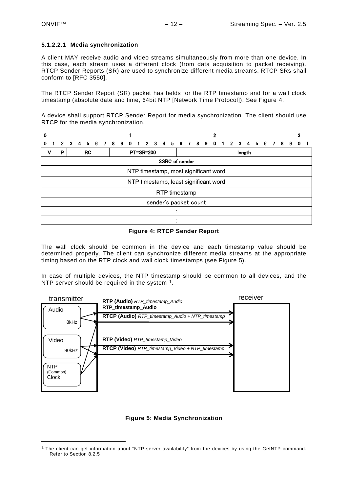<span id="page-11-2"></span> $\overline{a}$ 

#### <span id="page-11-0"></span>**5.1.2.2.1 Media synchronization**

A client MAY receive audio and video streams simultaneously from more than one device. In this case, each stream uses a different clock (from data acquisition to packet receiving). RTCP Sender Reports (SR) are used to synchronize different media streams. RTCP SRs shall conform to [RFC 3550].

The RTCP Sender Report (SR) packet has fields for the RTP timestamp and for a wall clock timestamp (absolute date and time, 64bit NTP [Network Time Protocol]). See [Figure 4.](#page-11-1)

A device shall support RTCP Sender Report for media synchronization. The client should use RTCP for the media synchronization.

| 0            |                                       |             |  |  |           |  |  |  |  |  |                                                   |  |  |                       |  | 2 |  |        |  |  |    |  |  |
|--------------|---------------------------------------|-------------|--|--|-----------|--|--|--|--|--|---------------------------------------------------|--|--|-----------------------|--|---|--|--------|--|--|----|--|--|
| $\mathbf{0}$ |                                       | $2 \quad 3$ |  |  |           |  |  |  |  |  | 4 5 6 7 8 9 0 1 2 3 4 5 6 7 8 9 0 1 2 3 4 5 6 7 8 |  |  |                       |  |   |  |        |  |  | -9 |  |  |
| v            |                                       | P           |  |  | <b>RC</b> |  |  |  |  |  | <b>PT=SR=200</b>                                  |  |  |                       |  |   |  | length |  |  |    |  |  |
|              |                                       |             |  |  |           |  |  |  |  |  |                                                   |  |  | <b>SSRC</b> of sender |  |   |  |        |  |  |    |  |  |
|              | NTP timestamp, most significant word  |             |  |  |           |  |  |  |  |  |                                                   |  |  |                       |  |   |  |        |  |  |    |  |  |
|              | NTP timestamp, least significant word |             |  |  |           |  |  |  |  |  |                                                   |  |  |                       |  |   |  |        |  |  |    |  |  |
|              |                                       |             |  |  |           |  |  |  |  |  |                                                   |  |  | RTP timestamp         |  |   |  |        |  |  |    |  |  |
|              | sender's packet count                 |             |  |  |           |  |  |  |  |  |                                                   |  |  |                       |  |   |  |        |  |  |    |  |  |
|              |                                       |             |  |  |           |  |  |  |  |  |                                                   |  |  |                       |  |   |  |        |  |  |    |  |  |
|              |                                       |             |  |  |           |  |  |  |  |  |                                                   |  |  |                       |  |   |  |        |  |  |    |  |  |

**Figure 4: RTCP Sender Report**

<span id="page-11-1"></span>The wall clock should be common in the device and each timestamp value should be determined properly. The client can synchronize different media streams at the appropriate timing based on the RTP clock and wall clock timestamps (see [Figure 5\)](#page-11-2).

In case of multiple devices, the NTP timestamp should be common to all devices, and the NTP server should be required in the system [1](#page-11-3).



# **Figure 5: Media Synchronization**

<span id="page-11-3"></span><sup>1</sup> The client can get information about "NTP server availability" from the devices by using the GetNTP command. Refer to Section 8.2.5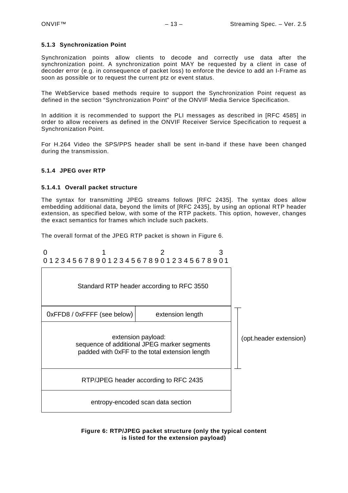#### <span id="page-12-0"></span>**5.1.3 Synchronization Point**

Synchronization points allow clients to decode and correctly use data after the synchronization point. A synchronization point MAY be requested by a client in case of decoder error (e.g. in consequence of packet loss) to enforce the device to add an I-Frame as soon as possible or to request the current ptz or event status.

The WebService based methods require to support the Synchronization Point request as defined in the section "Synchronization Point" of the ONVIF Media Service Specification.

In addition it is recommended to support the PLI messages as described in [RFC 4585] in order to allow receivers as defined in the ONVIF Receiver Service Specification to request a Synchronization Point.

For H.264 Video the SPS/PPS header shall be sent in-band if these have been changed during the transmission.

#### <span id="page-12-1"></span>**5.1.4 JPEG over RTP**

#### **5.1.4.1 Overall packet structure**

The syntax for transmitting JPEG streams follows [RFC 2435]. The syntax does allow embedding additional data, beyond the limits of [RFC 2435], by using an optional RTP header extension, as specified below, with some of the RTP packets. This option, however, changes the exact semantics for frames which include such packets.

The overall format of the JPEG RTP packet is shown in [Figure 6.](#page-12-2)



<span id="page-12-2"></span>**Figure 6: RTP/JPEG packet structure (only the typical content is listed for the extension payload)**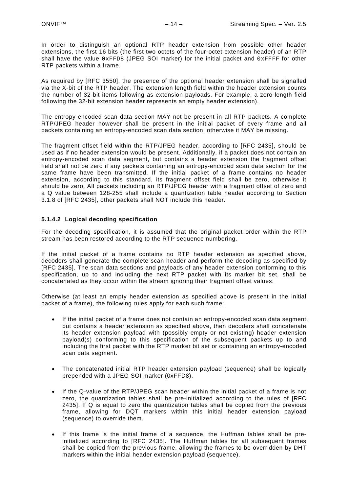In order to distinguish an optional RTP header extension from possible other header extensions, the first 16 bits (the first two octets of the four-octet extension header) of an RTP shall have the value  $0xFFDB$  (JPEG SOI marker) for the initial packet and  $0xFFFF$  for other RTP packets within a frame.

As required by [RFC 3550], the presence of the optional header extension shall be signalled via the X-bit of the RTP header. The extension length field within the header extension counts the number of 32-bit items following as extension payloads. For example, a zero-length field following the 32-bit extension header represents an empty header extension).

The entropy-encoded scan data section MAY not be present in all RTP packets. A complete RTP/JPEG header however shall be present in the initial packet of every frame and all packets containing an entropy-encoded scan data section, otherwise it MAY be missing.

The fragment offset field within the RTP/JPEG header, according to [RFC 2435], should be used as if no header extension would be present. Additionally, if a packet does not contain an entropy-encoded scan data segment, but contains a header extension the fragment offset field shall not be zero if any packets containing an entropy-encoded scan data section for the same frame have been transmitted. If the initial packet of a frame contains no header extension, according to this standard, its fragment offset field shall be zero, otherwise it should be zero. All packets including an RTP/JPEG header with a fragment offset of zero and a Q value between 128-255 shall include a quantization table header according to Section 3.1.8 of [RFC 2435], other packets shall NOT include this header.

# **5.1.4.2 Logical decoding specification**

For the decoding specification, it is assumed that the original packet order within the RTP stream has been restored according to the RTP sequence numbering.

If the initial packet of a frame contains no RTP header extension as specified above, decoders shall generate the complete scan header and perform the decoding as specified by [RFC 2435]. The scan data sections and payloads of any header extension conforming to this specification, up to and including the next RTP packet with its marker bit set, shall be concatenated as they occur within the stream ignoring their fragment offset values.

Otherwise (at least an empty header extension as specified above is present in the initial packet of a frame), the following rules apply for each such frame:

- If the initial packet of a frame does not contain an entropy-encoded scan data segment, but contains a header extension as specified above, then decoders shall concatenate its header extension payload with (possibly empty or not existing) header extension payload(s) conforming to this specification of the subsequent packets up to and including the first packet with the RTP marker bit set or containing an entropy-encoded scan data segment.
- The concatenated initial RTP header extension payload (sequence) shall be logically prepended with a JPEG SOI marker (0xFFD8).
- If the Q-value of the RTP/JPEG scan header within the initial packet of a frame is not zero, the quantization tables shall be pre-initialized according to the rules of [RFC 2435]. If Q is equal to zero the quantization tables shall be copied from the previous frame, allowing for DQT markers within this initial header extension payload (sequence) to override them.
- If this frame is the initial frame of a sequence, the Huffman tables shall be preinitialized according to [RFC 2435]. The Huffman tables for all subsequent frames shall be copied from the previous frame, allowing the frames to be overridden by DHT markers within the initial header extension payload (sequence).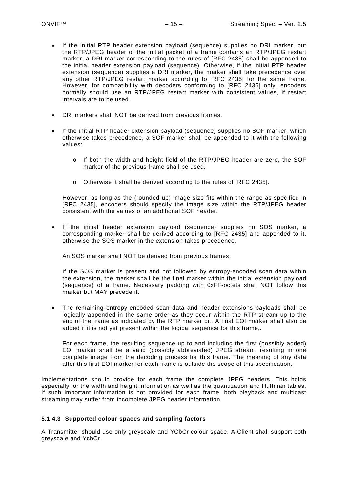- If the initial RTP header extension payload (sequence) supplies no DRI marker, but the RTP/JPEG header of the initial packet of a frame contains an RTP/JPEG restart marker, a DRI marker corresponding to the rules of [RFC 2435] shall be appended to the initial header extension payload (sequence). Otherwise, if the initial RTP header extension (sequence) supplies a DRI marker, the marker shall take precedence over any other RTP/JPEG restart marker according to [RFC 2435] for the same frame. However, for compatibility with decoders conforming to [RFC 2435] only, encoders normally should use an RTP/JPEG restart marker with consistent values, if restart intervals are to be used.
- DRI markers shall NOT be derived from previous frames.
- If the initial RTP header extension payload (sequence) supplies no SOF marker, which otherwise takes precedence, a SOF marker shall be appended to it with the following values:
	- o If both the width and height field of the RTP/JPEG header are zero, the SOF marker of the previous frame shall be used.
	- o Otherwise it shall be derived according to the rules of [RFC 2435].

However, as long as the (rounded up) image size fits within the range as specified in [RFC 2435], encoders should specify the image size within the RTP/JPEG header consistent with the values of an additional SOF header.

• If the initial header extension payload (sequence) supplies no SOS marker, a corresponding marker shall be derived according to [RFC 2435] and appended to it, otherwise the SOS marker in the extension takes precedence.

An SOS marker shall NOT be derived from previous frames.

If the SOS marker is present and not followed by entropy-encoded scan data within the extension, the marker shall be the final marker within the initial extension payload (sequence) of a frame. Necessary padding with 0xFF-octets shall NOT follow this marker but MAY precede it.

• The remaining entropy-encoded scan data and header extensions payloads shall be logically appended in the same order as they occur within the RTP stream up to the end of the frame as indicated by the RTP marker bit. A final EOI marker shall also be added if it is not yet present within the logical sequence for this frame,.

For each frame, the resulting sequence up to and including the first (possibly added) EOI marker shall be a valid (possibly abbreviated) JPEG stream, resulting in one complete image from the decoding process for this frame. The meaning of any data after this first EOI marker for each frame is outside the scope of this specification.

Implementations should provide for each frame the complete JPEG headers. This holds especially for the width and height information as well as the quantization and Huffman tables. If such important information is not provided for each frame, both playback and multicast streaming may suffer from incomplete JPEG header information.

# **5.1.4.3 Supported colour spaces and sampling factors**

A Transmitter should use only greyscale and YCbCr colour space. A Client shall support both greyscale and YcbCr.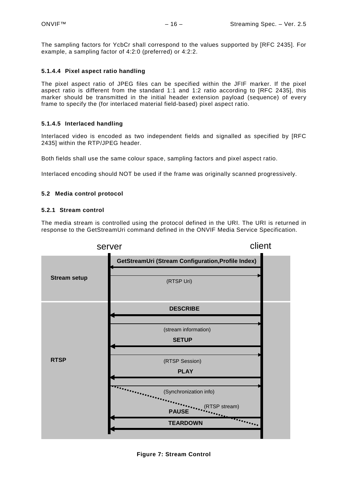The sampling factors for YcbCr shall correspond to the values supported by [RFC 2435]. For example, a sampling factor of 4:2:0 (preferred) or 4:2:2.

# **5.1.4.4 Pixel aspect ratio handling**

The pixel aspect ratio of JPEG files can be specified within the JFIF marker. If the pixel aspect ratio is different from the standard 1:1 and 1:2 ratio according to [RFC 2435], this marker should be transmitted in the initial header extension payload (sequence) of every frame to specify the (for interlaced material field-based) pixel aspect ratio.

# **5.1.4.5 Interlaced handling**

Interlaced video is encoded as two independent fields and signalled as specified by [RFC 2435] within the RTP/JPEG header.

Both fields shall use the same colour space, sampling factors and pixel aspect ratio.

Interlaced encoding should NOT be used if the frame was originally scanned progressively.

# <span id="page-15-0"></span>**5.2 Media control protocol**

# <span id="page-15-1"></span>**5.2.1 Stream control**

The media stream is controlled using the protocol defined in the URI. The URI is returned in response to the GetStreamUri command defined in the ONVIF Media Service Specification.



**Figure 7: Stream Control**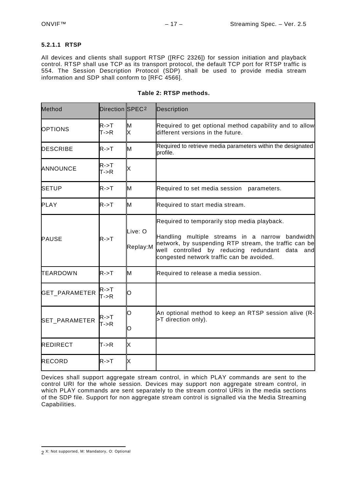#### <span id="page-16-0"></span>**5.2.1.1 RTSP**

All devices and clients shall support RTSP ([RFC 2326]) for session initiation and playback control. RTSP shall use TCP as its transport protocol, the default TCP port for RTSP traffic is 554. The Session Description Protocol (SDP) shall be used to provide media stream information and SDP shall conform to [RFC 4566].

| Method               | Direction SPEC <sub>2</sub>               |                     | Description                                                                                                                                                                                                                                                |  |  |  |  |  |  |  |  |  |
|----------------------|-------------------------------------------|---------------------|------------------------------------------------------------------------------------------------------------------------------------------------------------------------------------------------------------------------------------------------------------|--|--|--|--|--|--|--|--|--|
| <b>OPTIONS</b>       | $R - > T$<br>T > R                        | M<br>X              | Required to get optional method capability and to allow<br>different versions in the future.                                                                                                                                                               |  |  |  |  |  |  |  |  |  |
| <b>DESCRIBE</b>      | $R - > T$                                 | M                   | Required to retrieve media parameters within the designated<br>profile.                                                                                                                                                                                    |  |  |  |  |  |  |  |  |  |
| <b>ANNOUNCE</b>      | $R - > T$<br>T > R                        | X                   |                                                                                                                                                                                                                                                            |  |  |  |  |  |  |  |  |  |
| <b>SETUP</b>         | $R - > T$                                 | M                   | Required to set media session parameters.                                                                                                                                                                                                                  |  |  |  |  |  |  |  |  |  |
| <b>PLAY</b>          | $R \rightarrow T$                         | M                   | Required to start media stream.                                                                                                                                                                                                                            |  |  |  |  |  |  |  |  |  |
| <b>PAUSE</b>         | R > T                                     | Live: O<br>Replay:M | Required to temporarily stop media playback.<br>Handling multiple streams in a narrow bandwidth<br>network, by suspending RTP stream, the traffic can be<br>by reducing redundant data and<br>well controlled<br>congested network traffic can be avoided. |  |  |  |  |  |  |  |  |  |
| TEARDOWN             | $R - > T$                                 | M                   | Required to release a media session.                                                                                                                                                                                                                       |  |  |  |  |  |  |  |  |  |
| <b>GET PARAMETER</b> | $R - > T$<br>T > R                        | O                   |                                                                                                                                                                                                                                                            |  |  |  |  |  |  |  |  |  |
| SET_PARAMETER        | $R \rightarrow T$<br>T > R                | O<br>O              | An optional method to keep an RTSP session alive (R-<br>>T direction only).                                                                                                                                                                                |  |  |  |  |  |  |  |  |  |
| <b>REDIRECT</b>      | lT->R                                     | X                   |                                                                                                                                                                                                                                                            |  |  |  |  |  |  |  |  |  |
| <b>RECORD</b>        | $\mathsf{R}\text{-}\mathsf{>} \mathsf{T}$ | X                   |                                                                                                                                                                                                                                                            |  |  |  |  |  |  |  |  |  |

#### **Table 2: RTSP methods.**

Devices shall support aggregate stream control, in which PLAY commands are sent to the control URI for the whole session. Devices may support non aggregate stream control, in which PLAY commands are sent separately to the stream control URIs in the media sections of the SDP file. Support for non aggregate stream control is signalled via the Media Streaming Capabilities.

<span id="page-16-1"></span> $\overline{a}$ 2 X: Not supported, M: Mandatory, O: Optional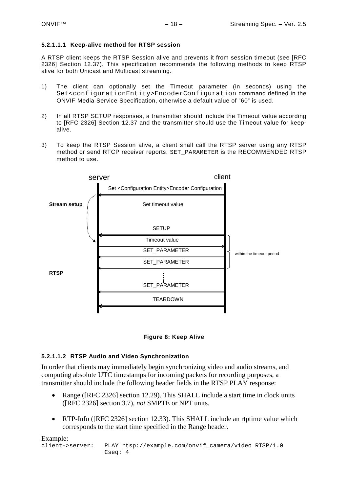# **5.2.1.1.1 Keep-alive method for RTSP session**

A RTSP client keeps the RTSP Session alive and prevents it from session timeout (see [RFC 2326] Section 12.37). This specification recommends the following methods to keep RTSP alive for both Unicast and Multicast streaming.

- 1) The client can optionally set the Timeout parameter (in seconds) using the Set<configurationEntity>EncoderConfiguration command defined in the ONVIF Media Service Specification, otherwise a default value of "60" is used.
- 2) In all RTSP SETUP responses, a transmitter should include the Timeout value according to [RFC 2326] Section 12.37 and the transmitter should use the Timeout value for keepalive.
- 3) To keep the RTSP Session alive, a client shall call the RTSP server using any RTSP method or send RTCP receiver reports. SET\_PARAMETER is the RECOMMENDED RTSP method to use.



# **Figure 8: Keep Alive**

# **5.2.1.1.2 RTSP Audio and Video Synchronization**

In order that clients may immediately begin synchronizing video and audio streams, and computing absolute UTC timestamps for incoming packets for recording purposes, a transmitter should include the following header fields in the RTSP PLAY response:

- Range ([RFC 2326] section 12.29). This SHALL include a start time in clock units ([RFC 2326] section 3.7), *not* SMPTE or NPT units.
- RTP-Info ([RFC 2326] section 12.33). This SHALL include an rtptime value which corresponds to the start time specified in the Range header.

Example:<br>client->server: PLAY rtsp://example.com/onvif\_camera/video RTSP/1.0 Cseq: 4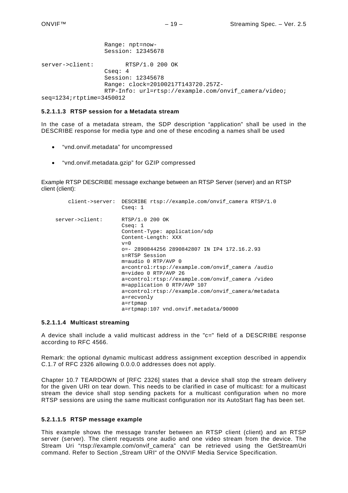|                                | Range: npt=now-<br>Session: 12345678                                                                                                          |
|--------------------------------|-----------------------------------------------------------------------------------------------------------------------------------------------|
| server->client:                | RTSP/1.0 200 OK<br>Cseq: 4<br>Session: 12345678<br>Range: clock=20100217T143720.257Z-<br>RTP-Info: url=rtsp://example.com/onvif camera/video; |
| $seq=1234$ ; $rtptime=3450012$ |                                                                                                                                               |

#### **5.2.1.1.3 RTSP session for a Metadata stream**

In the case of a metadata stream, the SDP description "application" shall be used in the DESCRIBE response for media type and one of these encoding a names shall be used

- "vnd.onvif.metadata" for uncompressed
- "vnd.onvif.metadata.gzip" for GZIP compressed

Example RTSP DESCRIBE message exchange between an RTSP Server (server) and an RTSP client (client):

```
client->server: DESCRIBE rtsp://example.com/onvif_camera RTSP/1.0
                     Cseq: 1
server->client: RTSP/1.0 200 OK
                     Cseq: 1
                     Content-Type: application/sdp
                    Content-Length: XXX<br>v=0v=0 o=- 2890844256 2890842807 IN IP4 172.16.2.93
                     s=RTSP Session
                     m=audio 0 RTP/AVP 0
                     a=control:rtsp://example.com/onvif_camera /audio
                     m=video 0 RTP/AVP 26
                     a=control:rtsp://example.com/onvif_camera /video
                    m=application 0 RTP/AVP 107
                    a=control:rtsp://example.com/onvif_camera/metadata
                    a=recvonly
                    a=rtpmap
                    a=rtpmap:107 vnd.onvif.metadata/90000
```
#### **5.2.1.1.4 Multicast streaming**

A device shall include a valid multicast address in the "c=" field of a DESCRIBE response according to RFC 4566.

Remark: the optional dynamic multicast address assignment exception described in appendix C.1.7 of RFC 2326 allowing 0.0.0.0 addresses does not apply.

Chapter 10.7 TEARDOWN of [RFC 2326] states that a device shall stop the stream delivery for the given URI on tear down. This needs to be clarified in case of multicast: for a multicast stream the device shall stop sending packets for a multicast configuration when no more RTSP sessions are using the same multicast configuration nor its AutoStart flag has been set.

#### **5.2.1.1.5 RTSP message example**

This example shows the message transfer between an RTSP client (client) and an RTSP server (server). The client requests one audio and one video stream from the device. The Stream Uri "rtsp://example.com/onvif camera" can be retrieved using the GetStreamUri command. Refer to Section "Stream URI" of the ONVIF Media Service Specification.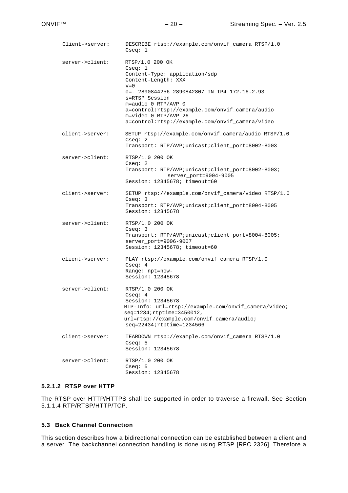Client->server: DESCRIBE rtsp://example.com/onvif\_camera RTSP/1.0 Cseq: 1 server->client: RTSP/1.0 200 OK Cseq: 1 Content-Type: application/sdp Content-Length: XXX<br>v=0  $v=0$  o=- 2890844256 2890842807 IN IP4 172.16.2.93 s=RTSP Session m=audio 0 RTP/AVP 0 a=control:rtsp://example.com/onvif\_camera/audio m=video 0 RTP/AVP 26 a=control:rtsp://example.com/onvif\_camera/video client->server: SETUP rtsp://example.com/onvif\_camera/audio RTSP/1.0 Cseq: 2 Transport: RTP/AVP;unicast;client\_port=8002-8003 server->client: RTSP/1.0 200 OK Cseq: 2 Transport: RTP/AVP;unicast;client\_port=8002-8003; server\_port=9004-9005 Session: 12345678; timeout=60 client->server: SETUP rtsp://example.com/onvif\_camera/video RTSP/1.0 Cseq: 3 Transport: RTP/AVP;unicast;client\_port=8004-8005 Session: 12345678 server->client: RTSP/1.0 200 OK Cseq: 3 Transport: RTP/AVP;unicast;client port=8004-8005; server\_port=9006-9007 Session: 12345678; timeout=60 client->server: PLAY rtsp://example.com/onvif\_camera RTSP/1.0 Cseq: 4 Range: npt=now-Session: 12345678 server->client: RTSP/1.0 200 OK Cseq: 4 Session: 12345678 RTP-Info: url=rtsp://example.com/onvif\_camera/video; seq=1234;rtptime=3450012, url=rtsp://example.com/onvif\_camera/audio; seq=22434;rtptime=1234566 client->server: TEARDOWN rtsp://example.com/onvif\_camera RTSP/1.0 Cseq: 5 Session: 12345678 server->client: RTSP/1.0 200 OK Cseq: 5 Session: 12345678

#### **5.2.1.2 RTSP over HTTP**

The RTSP over HTTP/HTTPS shall be supported in order to traverse a firewall. See Section [5.1.1.4](#page-6-3) RTP/RTSP/HTTP/TCP.

#### <span id="page-19-0"></span>**5.3 Back Channel Connection**

This section describes how a bidirectional connection can be established between a client and a server. The backchannel connection handling is done using RTSP [RFC 2326]. Therefore a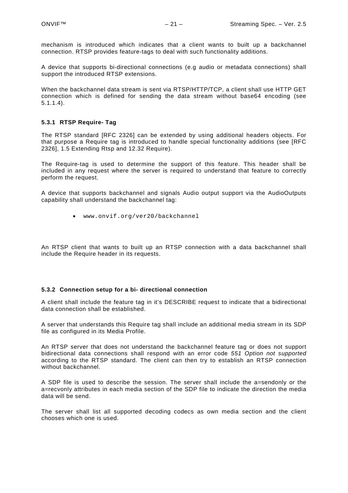mechanism is introduced which indicates that a client wants to built up a backchannel connection. RTSP provides feature-tags to deal with such functionality additions.

A device that supports bi-directional connections (e.g audio or metadata connections) shall support the introduced RTSP extensions.

When the backchannel data stream is sent via RTSP/HTTP/TCP, a client shall use HTTP GET connection which is defined for sending the data stream without base64 encoding (see [5.1.1.4\)](#page-6-3).

#### <span id="page-20-0"></span>**5.3.1 RTSP Require- Tag**

The RTSP standard [RFC 2326] can be extended by using additional headers objects. For that purpose a Require tag is introduced to handle special functionality additions (see [RFC 2326], 1.5 Extending Rtsp and 12.32 Require).

The Require-tag is used to determine the support of this feature. This header shall be included in any request where the server is required to understand that feature to correctly perform the request.

A device that supports backchannel and signals Audio output support via the AudioOutputs capability shall understand the backchannel tag:

• [www.onvif.org/ver20/b](http://www.onvif.org/ver20/)ackchannel

An RTSP client that wants to built up an RTSP connection with a data backchannel shall include the Require header in its requests.

#### <span id="page-20-1"></span>**5.3.2 Connection setup for a bi- directional connection**

A client shall include the feature tag in it's DESCRIBE request to indicate that a bidirectional data connection shall be established.

A server that understands this Require tag shall include an additional media stream in its SDP file as configured in its Media Profile.

An RTSP server that does not understand the backchannel feature tag or does not support bidirectional data connections shall respond with an error code *551 Option not supported* according to the RTSP standard. The client can then try to establish an RTSP connection without backchannel.

A SDP file is used to describe the session. The server shall include the a=sendonly or the a=recvonly attributes in each media section of the SDP file to indicate the direction the media data will be send.

The server shall list all supported decoding codecs as own media section and the client chooses which one is used.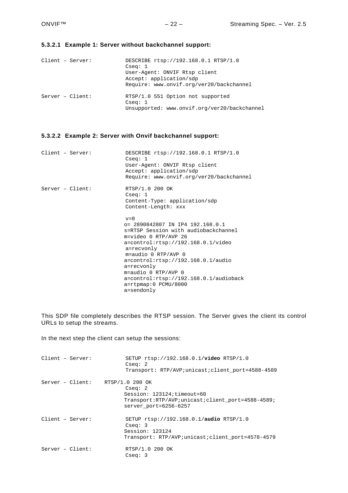#### **5.3.2.1 Example 1: Server without backchannel support:**

| $Client - Server:$ | DESCRIBE rtsp://192.168.0.1 RTSP/1.0         |  |  |  |  |  |  |  |  |  |
|--------------------|----------------------------------------------|--|--|--|--|--|--|--|--|--|
|                    | Cseq: 1                                      |  |  |  |  |  |  |  |  |  |
|                    | User-Agent: ONVIF Rtsp client                |  |  |  |  |  |  |  |  |  |
|                    | Accept: application/sdp                      |  |  |  |  |  |  |  |  |  |
|                    | Require: www.onvif.org/ver20/backchannel     |  |  |  |  |  |  |  |  |  |
| $Server - Client:$ | RTSP/1.0 551 Option not supported<br>Cseq: 1 |  |  |  |  |  |  |  |  |  |
|                    | Unsupported: www.onvif.org/ver20/backchannel |  |  |  |  |  |  |  |  |  |

### **5.3.2.2 Example 2: Server with Onvif backchannel support:**

| Client - Server:   | DESCRIBE rtsp://192.168.0.1 RTSP/1.0<br>Cseq: 1<br>User-Agent: ONVIF Rtsp client<br>Accept: application/sdp<br>Require: www.onvif.org/ver20/backchannel                                                                                                                                                                                                                                   |
|--------------------|-------------------------------------------------------------------------------------------------------------------------------------------------------------------------------------------------------------------------------------------------------------------------------------------------------------------------------------------------------------------------------------------|
| $Server - Client:$ | RTSP/1.0 200 OK<br>Cseq: 1<br>Content-Type: application/sdp<br>Content-Length: xxx                                                                                                                                                                                                                                                                                                        |
|                    | $v=0$<br>$o= 2890842807$ IN IP4 192.168.0.1<br>s=RTSP Session with audiobackchannel<br>$m = video 0 RTP/AVP 26$<br>$a=control:rtsp://192.168.0.1/video$<br>a=recvonly<br>$m = \text{audio} 0 RTP/AVP 0$<br>$a=control:rtsp://192.168.0.1/audio$<br>a=recvonly<br>$m = \text{audio} 0 RTP/AVP 0$<br>$a = control:rtsp://192.168.0.1/audioback$<br>$a = r$ tpmap: 0 PCMU/8000<br>a=sendonly |

This SDP file completely describes the RTSP session. The Server gives the client its control URLs to setup the streams.

In the next step the client can setup the sessions:

| $Client - Server:$               | SETUP rtsp://192.168.0.1/video RTSP/1.0<br>Cseq: 2<br>Transport: RTP/AVP;unicast;client port=4588-4589                      |
|----------------------------------|-----------------------------------------------------------------------------------------------------------------------------|
| $Server - Client: RTSP/1.02000K$ | Cseq: 2<br>$Session: 123124$ ; $timeout=60$<br>Transport:RTP/AVP;unicast;client port=4588-4589;<br>server port=6256-6257    |
| $Client - Server:$               | SETUP $rtsp://192.168.0.1/audio RTSP/1.0$<br>Cseq: 3<br>Session: 123124<br>Transport: RTP/AVP;unicast;client port=4578-4579 |
| $Server - Client:$               | RTSP/1.0 200 OK<br>Cseq: 3                                                                                                  |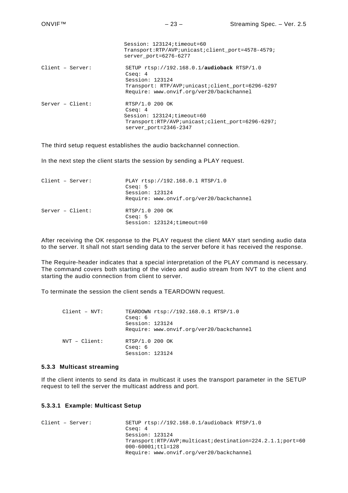|                    | Session: 123124; timeout=60<br>Transport:RTP/AVP;unicast;client port=4578-4579;<br>server port=6276-6277                                                                      |
|--------------------|-------------------------------------------------------------------------------------------------------------------------------------------------------------------------------|
| $Client - Server:$ | SETUP $rtsp://192.168.0.1/audioback RTSP/1.0$<br>Cseq: $4$<br>Session: 123124<br>Transport: RTP/AVP;unicast;client port=6296-6297<br>Require: www.onvif.org/ver20/backchannel |
| $Server - Client:$ | RTSP/1.0 200 OK<br>Cseq: $4$<br>Session: 123124; timeout=60<br>Transport:RTP/AVP;unicast;client_port=6296-6297;<br>server port=2346-2347                                      |

The third setup request establishes the audio backchannel connection.

In the next step the client starts the session by sending a PLAY request.

| Client - Server:   | Cseq: 5                      | PLAY rtsp://192.168.0.1 RTSP/1.0         |
|--------------------|------------------------------|------------------------------------------|
|                    | Session: 123124              |                                          |
|                    |                              | Require: www.onvif.org/ver20/backchannel |
| $Server - Client:$ | RTSP/1.0 200 OK<br>Cseq: $5$ |                                          |
|                    |                              | Session: 123124;timeout=60               |

After receiving the OK response to the PLAY request the client MAY start sending audio data to the server. It shall not start sending data to the server before it has received the response.

The Require-header indicates that a special interpretation of the PLAY command is necessary. The command covers both starting of the video and audio stream from NVT to the client and starting the audio connection from client to server.

To terminate the session the client sends a TEARDOWN request.

| Client - NVT: |                            | TEARDOWN rtsp://192.168.0.1 RTSP/1.0     |
|---------------|----------------------------|------------------------------------------|
|               | Cseq: 6                    |                                          |
|               | Session: 123124            |                                          |
|               |                            | Require: www.onvif.org/ver20/backchannel |
| NVT - Client: | RTSP/1.0 200 OK<br>Cseq: 6 |                                          |
|               | Session: 123124            |                                          |

#### <span id="page-22-0"></span>**5.3.3 Multicast streaming**

If the client intents to send its data in multicast it uses the transport parameter in the SETUP request to tell the server the multicast address and port.

#### **5.3.3.1 Example: Multicast Setup**

```
Client – Server: SETUP rtsp://192.168.0.1/audioback RTSP/1.0
                         Cseq: 4
                         Session: 123124
                         Transport:RTP/AVP;multicast;destination=224.2.1.1;port=60
                         000-60001;ttl=128
                         Require: www.onvif.org/ver20/backchannel
```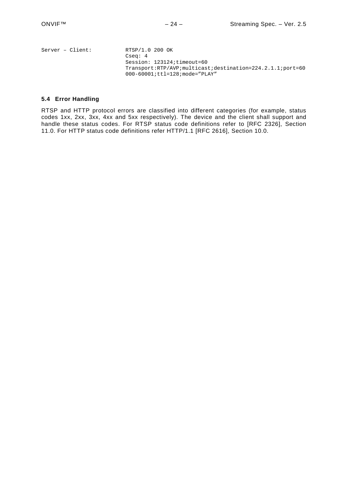| $Server - Client:$ | RTSP/1.0 200 OK                                           |
|--------------------|-----------------------------------------------------------|
|                    | Csea: 4                                                   |
|                    | Session: 123124;timeout=60                                |
|                    | Transport:RTP/AVP;multicast;destination=224.2.1.1;port=60 |
|                    | $000 - 60001$ ; ttl=128; mode="PLAY"                      |
|                    |                                                           |

#### <span id="page-23-0"></span>**5.4 Error Handling**

RTSP and HTTP protocol errors are classified into different categories (for example, status codes 1xx, 2xx, 3xx, 4xx and 5xx respectively). The device and the client shall support and handle these status codes. For RTSP status code definitions refer to [RFC 2326], Section 11.0. For HTTP status code definitions refer HTTP/1.1 [RFC 2616], Section 10.0.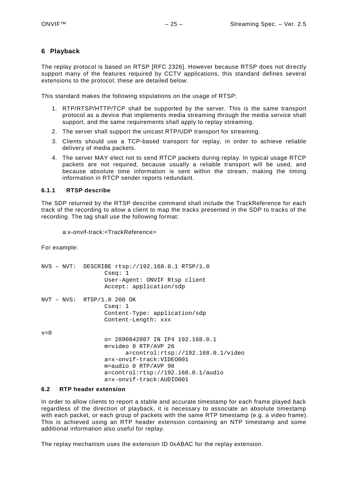# <span id="page-24-0"></span>**6 Playback**

The replay protocol is based on RTSP [RFC 2326]. However because RTSP does not directly support many of the features required by CCTV applications, this standard defines several extensions to the protocol; these are detailed below.

This standard makes the following stipulations on the usage of RTSP:

- 1. RTP/RTSP/HTTP/TCP shall be supported by the server. This is the same transport protocol as a device that implements media streaming through the media service shall support, and the same requirements shall apply to replay streaming.
- 2. The server shall support the unicast RTP/UDP transport for streaming.
- 3. Clients should use a TCP-based transport for replay, in order to achieve reliable delivery of media packets.
- 4. The server MAY elect not to send RTCP packets during replay. In typical usage RTCP packets are not required, because usually a reliable transport will be used, and because absolute time information is sent within the stream, making the timing information in RTCP sender reports redundant.

#### <span id="page-24-1"></span>**6.1.1 RTSP describe**

The SDP returned by the RTSP describe command shall include the TrackReference for each track of the recording to allow a client to map the tracks presented in the SDP to tracks of the recording. The tag shall use the following format:

a:x-onvif-track:<TrackReference>

For example:

|         | NVS - NVT: DESCRIBE rtsp://192.168.0.1 RTSP/1.0<br>Cseq: 1<br>User-Agent: ONVIF Rtsp client<br>Accept: application/sdp                                                                                                                  |
|---------|-----------------------------------------------------------------------------------------------------------------------------------------------------------------------------------------------------------------------------------------|
|         | $NVT - NVS: RTSP/1.0 200 OK$<br>Cseq: 1<br>Content-Type: application/sdp<br>Content-Length: xxx                                                                                                                                         |
| $v = 0$ | o= 2890842807 IN IP4 192.168.0.1<br>m=video 0 RTP/AVP 26<br>a=control:rtsp://192.168.0.1/video<br>$a=x-onyif-track:VIDE0001$<br>$m = \text{audio} 0$ RTP/AVP 98<br>$a = control:rtsp://192.168.0.1/audio$<br>$a=x-onyif-track:AUDIO001$ |

#### <span id="page-24-2"></span>**6.2 RTP header extension**

In order to allow clients to report a stable and accurate timestamp for each frame played back regardless of the direction of playback, it is necessary to associate an absolute timestamp with each packet, or each group of packets with the same RTP timestamp (e.g. a video frame). This is achieved using an RTP header extension containing an NTP timestamp and some additional information also useful for replay.

The replay mechanism uses the extension ID 0xABAC for the replay extension.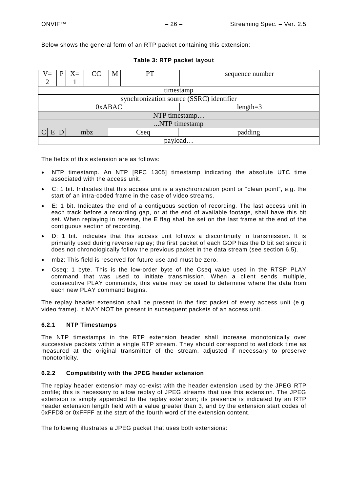Below shows the general form of an RTP packet containing this extension:

| $V =$                                |                                          | $X=$ | CC | M | PT | sequence number |
|--------------------------------------|------------------------------------------|------|----|---|----|-----------------|
| $\overline{2}$                       |                                          |      |    |   |    |                 |
|                                      | timestamp                                |      |    |   |    |                 |
|                                      | synchronization source (SSRC) identifier |      |    |   |    |                 |
|                                      | $length=3$<br>0xABAC                     |      |    |   |    |                 |
|                                      | NTP timestamp                            |      |    |   |    |                 |
| NTP timestamp                        |                                          |      |    |   |    |                 |
| padding<br>$E\vert D$<br>mbz<br>Cseq |                                          |      |    |   |    |                 |
| payload                              |                                          |      |    |   |    |                 |

#### **Table 3: RTP packet layout**

The fields of this extension are as follows:

- NTP timestamp. An NTP [RFC 1305] timestamp indicating the absolute UTC time associated with the access unit.
- C: 1 bit. Indicates that this access unit is a synchronization point or "clean point", e.g. the start of an intra-coded frame in the case of video streams.
- E: 1 bit. Indicates the end of a contiguous section of recording. The last access unit in each track before a recording gap, or at the end of available footage, shall have this bit set. When replaying in reverse, the E flag shall be set on the last frame at the end of the contiguous section of recording.
- D: 1 bit. Indicates that this access unit follows a discontinuity in transmission. It is primarily used during reverse replay; the first packet of each GOP has the D bit set since it does not chronologically follow the previous packet in the data stream (see section [6.5\)](#page-29-0).
- mbz: This field is reserved for future use and must be zero.
- Cseq: 1 byte. This is the low-order byte of the Cseq value used in the RTSP PLAY command that was used to initiate transmission. When a client sends multiple, consecutive PLAY commands, this value may be used to determine where the data from each new PLAY command begins.

The replay header extension shall be present in the first packet of every access unit (e.g. video frame). It MAY NOT be present in subsequent packets of an access unit.

# <span id="page-25-0"></span>**6.2.1 NTP Timestamps**

The NTP timestamps in the RTP extension header shall increase monotonically over successive packets within a single RTP stream. They should correspond to wallclock time as measured at the original transmitter of the stream, adjusted if necessary to preserve monotonicity.

#### <span id="page-25-1"></span>**6.2.2 Compatibility with the JPEG header extension**

The replay header extension may co-exist with the header extension used by the JPEG RTP profile; this is necessary to allow replay of JPEG streams that use this extension. The JPEG extension is simply appended to the replay extension; its presence is indicated by an RTP header extension length field with a value greater than 3, and by the extension start codes of 0xFFD8 or 0xFFFF at the start of the fourth word of the extension content.

The following illustrates a JPEG packet that uses both extensions: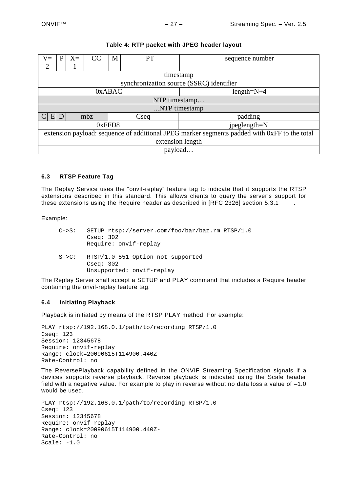| $X=$<br>$V =$<br>P<br>2                                                                      | CC<br>M       | PT                                       | sequence number |  |  |
|----------------------------------------------------------------------------------------------|---------------|------------------------------------------|-----------------|--|--|
|                                                                                              |               | timestamp                                |                 |  |  |
|                                                                                              |               | synchronization source (SSRC) identifier |                 |  |  |
|                                                                                              | 0xABAC        |                                          | $length=N+4$    |  |  |
|                                                                                              | NTP timestamp |                                          |                 |  |  |
| NTP timestamp                                                                                |               |                                          |                 |  |  |
| $E$ D<br>mbz<br>padding<br>Cseq                                                              |               |                                          |                 |  |  |
| jpeglength=N<br>0xFFD8                                                                       |               |                                          |                 |  |  |
| extension payload: sequence of additional JPEG marker segments padded with 0xFF to the total |               |                                          |                 |  |  |
| extension length                                                                             |               |                                          |                 |  |  |
| payload                                                                                      |               |                                          |                 |  |  |

### **Table 4: RTP packet with JPEG header layout**

# <span id="page-26-0"></span>**6.3 RTSP Feature Tag**

The Replay Service uses the "onvif-replay" feature tag to indicate that it supports the RTSP extensions described in this standard. This allows clients to query the server's support for these extensions using the Require header as described in [RFC 2326] section [5.3.1](#page-20-0) .

Example:

| $C \rightarrow S$ : | SETUP rtsp://server.com/foo/bar/baz.rm RTSP/1.0<br>Csea: 302<br>Require: onvif-replay |
|---------------------|---------------------------------------------------------------------------------------|
| $S->C$ :            | RTSP/1.0 551 Option not supported<br>Cseq: 302<br>Unsupported: onvif-replay           |

The Replay Server shall accept a SETUP and PLAY command that includes a Require header containing the onvif-replay feature tag.

#### <span id="page-26-1"></span>**6.4 Initiating Playback**

Playback is initiated by means of the RTSP PLAY method. For example:

```
PLAY rtsp://192.168.0.1/path/to/recording RTSP/1.0
Cseq: 123
Session: 12345678
Require: onvif-replay
Range: clock=20090615T114900.440Z-
Rate-Control: no
```
The ReversePlayback capability defined in the ONVIF Streaming Specification signals if a devices supports reverse playback. Reverse playback is indicated using the Scale header field with a negative value. For example to play in reverse without no data loss a value of –1.0 would be used.

```
PLAY rtsp://192.168.0.1/path/to/recording RTSP/1.0
Cseq: 123
Session: 12345678
Require: onvif-replay
Range: clock=20090615T114900.440Z-
Rate-Control: no
Scale: -1.0
```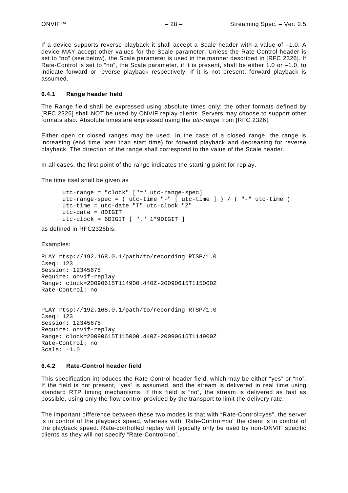If a device supports reverse playback it shall accept a Scale header with a value of –1.0. A device MAY accept other values for the Scale parameter. Unless the Rate-Control header is set to "no" (see below), the Scale parameter is used in the manner described in [RFC 2326]. If Rate-Control is set to "no", the Scale parameter, if it is present, shall be either 1.0 or -1.0, to indicate forward or reverse playback respectively. If it is not present, forward playback is assumed.

#### <span id="page-27-0"></span>**6.4.1 Range header field**

The Range field shall be expressed using absolute times only; the other formats defined by [RFC 2326] shall NOT be used by ONVIF replay clients. Servers may choose to support other formats also. Absolute times are expressed using the *utc-range* from [RFC 2326].

Either open or closed ranges may be used. In the case of a closed range, the range is increasing (end time later than start time) for forward playback and decreasing for reverse playback. The direction of the range shall correspond to the value of the Scale header.

In all cases, the first point of the range indicates the starting point for replay.

The time itsel shall be given as

utc-range = "clock" ["=" utc-range-spec] utc-range-spec = ( utc-time "-" [ utc-time ] ) / ( "-" utc-time ) utc-time = utc-date "T" utc-clock "Z" utc-date = 8DIGIT utc-clock = 6DIGIT [ "." 1\*9DIGIT ]

as defined in RFC2326bis.

Examples:

PLAY rtsp://192.168.0.1/path/to/recording RTSP/1.0 Cseq: 123 Session: 12345678 Require: onvif-replay Range: clock=20090615T114900.440Z-20090615T115000Z Rate-Control: no

```
PLAY rtsp://192.168.0.1/path/to/recording RTSP/1.0
Cseq: 123
Session: 12345678
Require: onvif-replay
Range: clock=20090615T115000.440Z-20090615T114900Z
Rate-Control: no
Scale: -1.0
```
#### <span id="page-27-1"></span>**6.4.2 Rate-Control header field**

This specification introduces the Rate-Control header field, which may be either "yes" or "no". If the field is not present, "yes" is assumed, and the stream is delivered in real time using standard RTP timing mechanisms. If this field is "no", the stream is delivered as fast as possible, using only the flow control provided by the transport to limit the delivery rate.

The important difference between these two modes is that with "Rate-Control=yes", the server is in control of the playback speed, whereas with "Rate-Control=no" the client is in control of the playback speed. Rate-controlled replay will typically only be used by non-ONVIF specific clients as they will not specify "Rate-Control=no".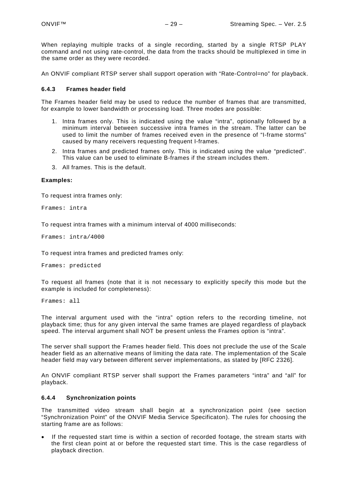When replaying multiple tracks of a single recording, started by a single RTSP PLAY command and not using rate-control, the data from the tracks should be multiplexed in time in the same order as they were recorded.

An ONVIF compliant RTSP server shall support operation with "Rate-Control=no" for playback.

#### <span id="page-28-0"></span>**6.4.3 Frames header field**

The Frames header field may be used to reduce the number of frames that are transmitted, for example to lower bandwidth or processing load. Three modes are possible:

- 1. Intra frames only. This is indicated using the value "intra", optionally followed by a minimum interval between successive intra frames in the stream. The latter can be used to limit the number of frames received even in the presence of "I-frame storms" caused by many receivers requesting frequent I-frames.
- 2. Intra frames and predicted frames only. This is indicated using the value "predicted". This value can be used to eliminate B-frames if the stream includes them.
- 3. All frames. This is the default.

#### **Examples:**

To request intra frames only:

Frames: intra

To request intra frames with a minimum interval of 4000 milliseconds:

Frames: intra/4000

To request intra frames and predicted frames only:

Frames: predicted

To request all frames (note that it is not necessary to explicitly specify this mode but the example is included for completeness):

Frames: all

The interval argument used with the "intra" option refers to the recording timeline, not playback time; thus for any given interval the same frames are played regardless of playback speed. The interval argument shall NOT be present unless the Frames option is "intra".

The server shall support the Frames header field. This does not preclude the use of the Scale header field as an alternative means of limiting the data rate. The implementation of the Scale header field may vary between different server implementations, as stated by [RFC 2326].

An ONVIF compliant RTSP server shall support the Frames parameters "intra" and "all" for playback.

#### <span id="page-28-1"></span>**6.4.4 Synchronization points**

The transmitted video stream shall begin at a synchronization point (see section "Synchronization Point" of the ONVIF Media Service Specificaton). The rules for choosing the starting frame are as follows:

If the requested start time is within a section of recorded footage, the stream starts with the first clean point at or before the requested start time. This is the case regardless of playback direction.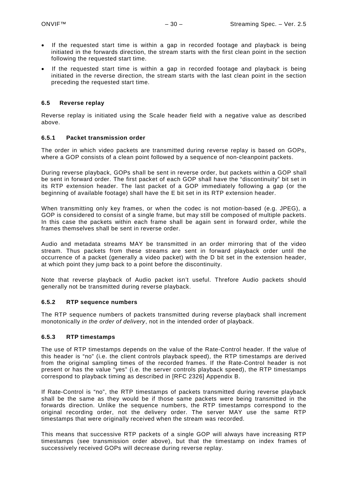- If the requested start time is within a gap in recorded footage and playback is being initiated in the forwards direction, the stream starts with the first clean point in the section following the requested start time.
- If the requested start time is within a gap in recorded footage and playback is being initiated in the reverse direction, the stream starts with the last clean point in the section preceding the requested start time.

#### <span id="page-29-0"></span>**6.5 Reverse replay**

Reverse replay is initiated using the Scale header field with a negative value as described above.

### <span id="page-29-1"></span>**6.5.1 Packet transmission order**

The order in which video packets are transmitted during reverse replay is based on GOPs, where a GOP consists of a clean point followed by a sequence of non-cleanpoint packets.

During reverse playback, GOPs shall be sent in reverse order, but packets within a GOP shall be sent in forward order. The first packet of each GOP shall have the "discontinuity" bit set in its RTP extension header. The last packet of a GOP immediately following a gap (or the beginning of available footage) shall have the E bit set in its RTP extension header.

When transmitting only key frames, or when the codec is not motion-based (e.g. JPEG), a GOP is considered to consist of a single frame, but may still be composed of multiple packets. In this case the packets within each frame shall be again sent in forward order, while the frames themselves shall be sent in reverse order.

Audio and metadata streams MAY be transmitted in an order mirroring that of the video stream. Thus packets from these streams are sent in forward playback order until the occurrence of a packet (generally a video packet) with the D bit set in the extension header, at which point they jump back to a point before the discontinuity.

Note that reverse playback of Audio packet isn't useful. Threfore Audio packets should generally not be transmitted during reverse playback.

# <span id="page-29-2"></span>**6.5.2 RTP sequence numbers**

The RTP sequence numbers of packets transmitted during reverse playback shall increment monotonically *in the order of delivery*, not in the intended order of playback.

#### <span id="page-29-3"></span>**6.5.3 RTP timestamps**

The use of RTP timestamps depends on the value of the Rate-Control header. If the value of this header is "no" (i.e. the client controls playback speed), the RTP timestamps are derived from the original sampling times of the recorded frames. If the Rate-Control header is not present or has the value "yes" (i.e. the server controls playback speed), the RTP timestamps correspond to playback timing as described in [RFC 2326] Appendix B.

If Rate-Control is "no", the RTP timestamps of packets transmitted during reverse playback shall be the same as they would be if those same packets were being transmitted in the forwards direction. Unlike the sequence numbers, the RTP timestamps correspond to the original recording order, not the delivery order. The server MAY use the same RTP timestamps that were originally received when the stream was recorded.

This means that successive RTP packets of a single GOP will always have increasing RTP timestamps (see transmission order above), but that the timestamp on index frames of successively received GOPs will decrease during reverse replay.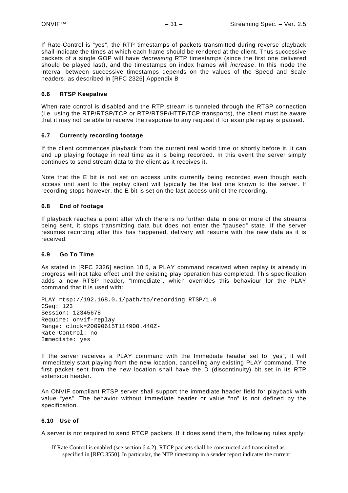If Rate-Control is "yes", the RTP timestamps of packets transmitted during reverse playback shall indicate the times at which each frame should be rendered at the client. Thus successive packets of a single GOP will have *decreasing* RTP timestamps (since the first one delivered should be played last), and the timestamps on index frames will *increase*. In this mode the interval between successive timestamps depends on the values of the Speed and Scale headers, as described in [RFC 2326] Appendix B

### <span id="page-30-0"></span>**6.6 RTSP Keepalive**

When rate control is disabled and the RTP stream is tunneled through the RTSP connection (i.e. using the RTP/RTSP/TCP or RTP/RTSP/HTTP/TCP transports), the client must be aware that it may not be able to receive the response to any request if for example replay is paused.

#### <span id="page-30-1"></span>**6.7 Currently recording footage**

If the client commences playback from the current real world time or shortly before it, it can end up playing footage in real time as it is being recorded. In this event the server simply continues to send stream data to the client as it receives it.

Note that the E bit is not set on access units currently being recorded even though each access unit sent to the replay client will typically be the last one known to the server. If recording stops however, the E bit is set on the last access unit of the recording.

#### <span id="page-30-2"></span>**6.8 End of footage**

If playback reaches a point after which there is no further data in one or more of the streams being sent, it stops transmitting data but does not enter the "paused" state. If the server resumes recording after this has happened, delivery will resume with the new data as it is received.

#### <span id="page-30-3"></span>**6.9 Go To Time**

As stated in [RFC 2326] section 10.5, a PLAY command received when replay is already in progress will not take effect until the existing play operation has completed. This specification adds a new RTSP header, "Immediate", which overrides this behaviour for the PLAY command that it is used with:

```
PLAY rtsp://192.168.0.1/path/to/recording RTSP/1.0
CSeq: 123
Session: 12345678
Require: onvif-replay
Range: clock=20090615T114900.440Z-
Rate-Control: no
Immediate: yes
```
If the server receives a PLAY command with the Immediate header set to "yes", it will immediately start playing from the new location, cancelling any existing PLAY command. The first packet sent from the new location shall have the D (discontinuity) bit set in its RTP extension header.

An ONVIF compliant RTSP server shall support the immediate header field for playback with value "yes". The behavior without immediate header or value "no" is not defined by the specification.

#### <span id="page-30-4"></span>**6.10 Use of**

A server is not required to send RTCP packets. If it does send them, the following rules apply:

If Rate Control is enabled (see section [6.4.2\)](#page-27-1), RTCP packets shall be constructed and transmitted as specified in [RFC 3550]. In particular, the NTP timestamp in a sender report indicates the current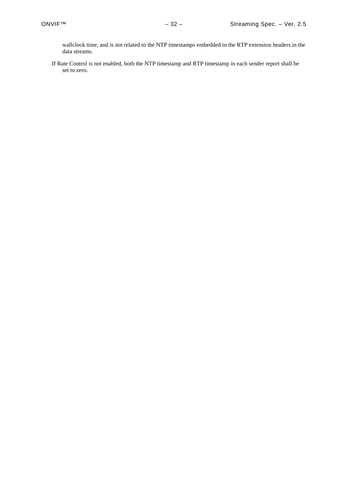wallclock time, and is not related to the NTP timestamps embedded in the RTP extension headers in the data streams.

If Rate Control is not enabled, both the NTP timestamp and RTP timestamp in each sender report shall be set to zero.